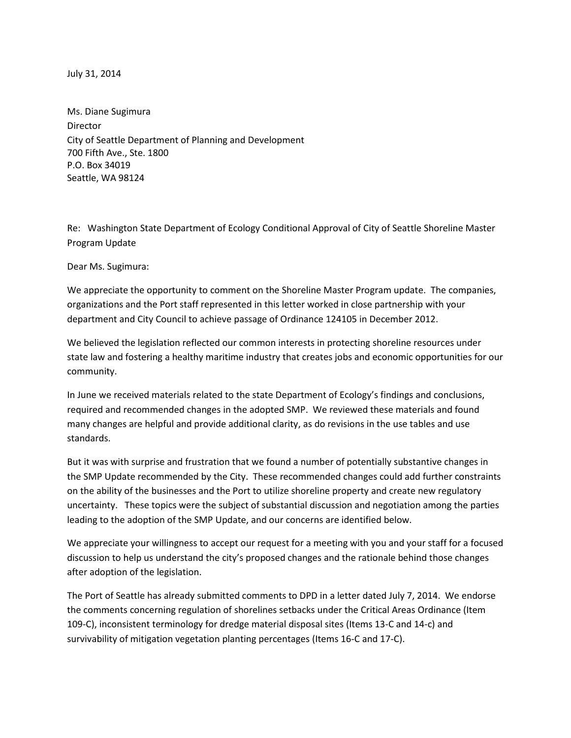July 31, 2014

Ms. Diane Sugimura Director City of Seattle Department of Planning and Development 700 Fifth Ave., Ste. 1800 P.O. Box 34019 Seattle, WA 98124

Re: Washington State Department of Ecology Conditional Approval of City of Seattle Shoreline Master Program Update

Dear Ms. Sugimura:

We appreciate the opportunity to comment on the Shoreline Master Program update. The companies, organizations and the Port staff represented in this letter worked in close partnership with your department and City Council to achieve passage of Ordinance 124105 in December 2012.

We believed the legislation reflected our common interests in protecting shoreline resources under state law and fostering a healthy maritime industry that creates jobs and economic opportunities for our community.

In June we received materials related to the state Department of Ecology's findings and conclusions, required and recommended changes in the adopted SMP. We reviewed these materials and found many changes are helpful and provide additional clarity, as do revisions in the use tables and use standards.

But it was with surprise and frustration that we found a number of potentially substantive changes in the SMP Update recommended by the City. These recommended changes could add further constraints on the ability of the businesses and the Port to utilize shoreline property and create new regulatory uncertainty. These topics were the subject of substantial discussion and negotiation among the parties leading to the adoption of the SMP Update, and our concerns are identified below.

We appreciate your willingness to accept our request for a meeting with you and your staff for a focused discussion to help us understand the city's proposed changes and the rationale behind those changes after adoption of the legislation.

The Port of Seattle has already submitted comments to DPD in a letter dated July 7, 2014. We endorse the comments concerning regulation of shorelines setbacks under the Critical Areas Ordinance (Item 109-C), inconsistent terminology for dredge material disposal sites (Items 13-C and 14-c) and survivability of mitigation vegetation planting percentages (Items 16-C and 17-C).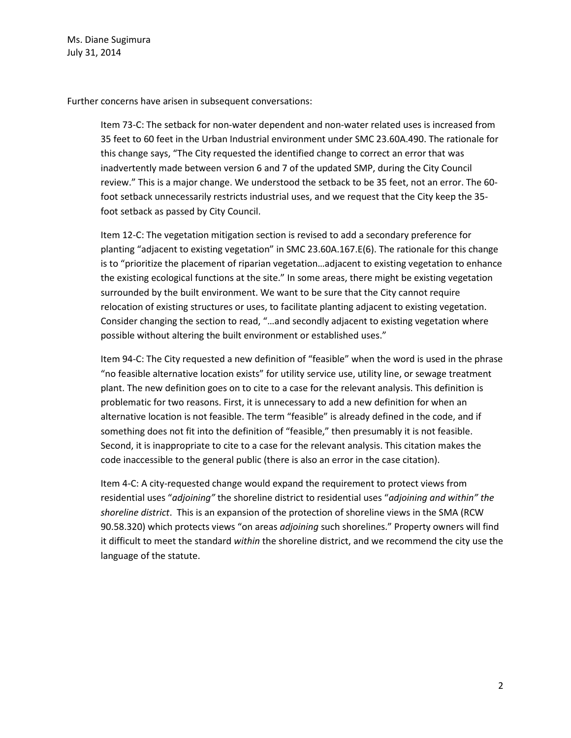Ms. Diane Sugimura July 31, 2014

Further concerns have arisen in subsequent conversations:

Item 73-C: The setback for non-water dependent and non-water related uses is increased from 35 feet to 60 feet in the Urban Industrial environment under SMC 23.60A.490. The rationale for this change says, "The City requested the identified change to correct an error that was inadvertently made between version 6 and 7 of the updated SMP, during the City Council review." This is a major change. We understood the setback to be 35 feet, not an error. The 60 foot setback unnecessarily restricts industrial uses, and we request that the City keep the 35 foot setback as passed by City Council.

Item 12-C: The vegetation mitigation section is revised to add a secondary preference for planting "adjacent to existing vegetation" in SMC 23.60A.167.E(6). The rationale for this change is to "prioritize the placement of riparian vegetation…adjacent to existing vegetation to enhance the existing ecological functions at the site." In some areas, there might be existing vegetation surrounded by the built environment. We want to be sure that the City cannot require relocation of existing structures or uses, to facilitate planting adjacent to existing vegetation. Consider changing the section to read, "…and secondly adjacent to existing vegetation where possible without altering the built environment or established uses."

Item 94-C: The City requested a new definition of "feasible" when the word is used in the phrase "no feasible alternative location exists" for utility service use, utility line, or sewage treatment plant. The new definition goes on to cite to a case for the relevant analysis. This definition is problematic for two reasons. First, it is unnecessary to add a new definition for when an alternative location is not feasible. The term "feasible" is already defined in the code, and if something does not fit into the definition of "feasible," then presumably it is not feasible. Second, it is inappropriate to cite to a case for the relevant analysis. This citation makes the code inaccessible to the general public (there is also an error in the case citation).

Item 4-C: A city-requested change would expand the requirement to protect views from residential uses "*adjoining"* the shoreline district to residential uses "*adjoining and within" the shoreline district*. This is an expansion of the protection of shoreline views in the SMA (RCW 90.58.320) which protects views "on areas *adjoining* such shorelines." Property owners will find it difficult to meet the standard *within* the shoreline district, and we recommend the city use the language of the statute.